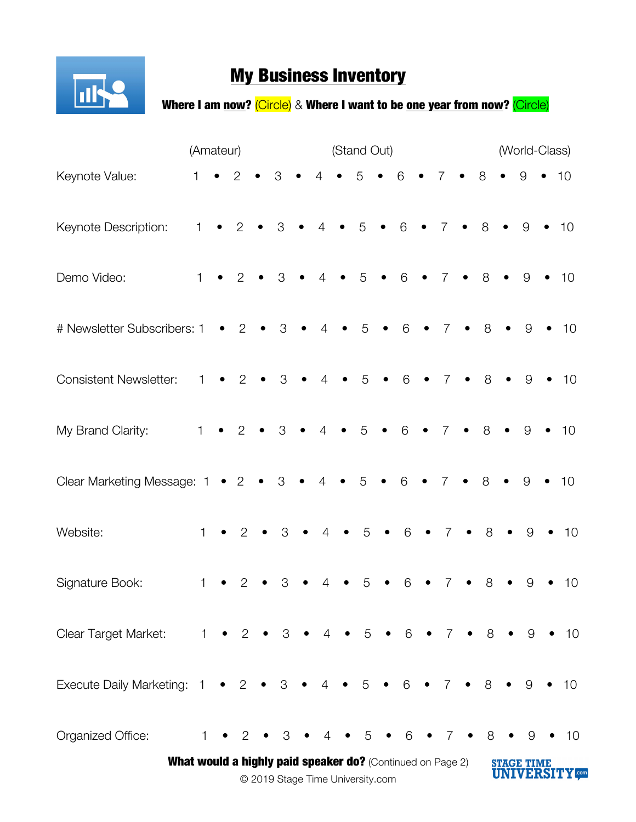

## **My Business Inventory**

Where I am now? (Circle) & Where I want to be one year from now? (Circle)

|                                                                                                | (Amateur)    |           |                |           |               | (Stand Out) |                 |           |                |           |                                   |           |                   | (World-Class) |             |           |       |           |              |
|------------------------------------------------------------------------------------------------|--------------|-----------|----------------|-----------|---------------|-------------|-----------------|-----------|----------------|-----------|-----------------------------------|-----------|-------------------|---------------|-------------|-----------|-------|-----------|--------------|
| Keynote Value:                                                                                 | $\mathbf{1}$ |           | $\overline{2}$ |           | 3             |             | $\overline{4}$  |           | 5              | $\bullet$ | 6                                 |           | 7                 |               | 8           | $\bullet$ | 9     | $\bullet$ | 10           |
| Keynote Description:                                                                           | 1            |           | $\overline{2}$ | $\bullet$ | 3             | $\bullet$   | $\overline{4}$  | $\bullet$ | 5              | $\bullet$ | $6\,$                             | $\bullet$ | $\overline{7}$    | $\bullet$     | 8           | $\bullet$ | 9     |           | 10           |
| Demo Video:                                                                                    | 1            |           | $\overline{2}$ |           | $\mathcal{S}$ | $\bullet$   | $\overline{4}$  |           | 5              | $\bullet$ | 6                                 | $\bullet$ | $\overline{7}$    | $\bullet$     | 8           |           | 9     |           | 10           |
| # Newsletter Subscribers: 1                                                                    |              |           | 2              | $\bullet$ | 3             |             | $\overline{4}$  | $\bullet$ | 5              |           | $6\phantom{.}6$                   |           | $\overline{7}$    |               | 8           |           | 9     |           | 10           |
| <b>Consistent Newsletter:</b>                                                                  | 1            |           | $\overline{2}$ | $\bullet$ | 3             | $\bullet$   | $\overline{4}$  | $\bullet$ | 5              | $\bullet$ | 6                                 | $\bullet$ | $\overline{7}$    | $\bullet$     | 8           | $\bullet$ | 9     |           | 10           |
| My Brand Clarity:                                                                              | 1            |           | 2              | $\bullet$ | 3             | $\bullet$   | $\overline{4}$  | $\bullet$ | 5              | $\bullet$ | 6                                 |           | $\overline{7}$    | $\bullet$     | 8           |           | 9     | $\bullet$ | 10           |
| Clear Marketing Message: 1                                                                     |              |           | $\bullet$ 2    | $\bullet$ | $\mbox{3}$    | $\bullet$   | $\overline{4}$  |           | 5              | $\bullet$ | 6                                 |           | $\overline{7}$    | $\bullet$     | 8           | $\bullet$ | 9     |           | 10           |
| Website:                                                                                       | $\mathbf{1}$ |           | $\overline{2}$ |           | 3             |             | $\overline{4}$  |           | 5              | $\bullet$ | 6                                 |           | 7                 | $\bullet$     | 8           |           | $9\,$ |           | 10           |
| Signature Book:                                                                                | 1            |           | $\overline{2}$ |           | 3             |             | $\overline{4}$  |           | 5              |           | 6                                 |           | 7                 |               | 8           |           | 9     |           | 10           |
| Clear Target Market:                                                                           | $1 -$        |           | $\bullet$ 2    |           | $\bullet$ 3   |             | $4 \bullet$     |           | 5 <sup>5</sup> |           | $\bullet$ 6 $\bullet$ 7 $\bullet$ |           |                   |               | 8           |           | 9     |           | 10           |
| Execute Daily Marketing: 1                                                                     |              | $\bullet$ | $\overline{2}$ | $\bullet$ | 3             | $\bullet$   | $4\overline{ }$ | $\bullet$ | 5 <sup>5</sup> |           | $\bullet$ 6 $\bullet$             |           | $\overline{7}$    |               | $\bullet$ 8 |           | 9     |           | $-10$        |
| Organized Office:                                                                              | 1.           |           | 2              |           | 3             |             | 4               |           | 5              |           | 6                                 |           |                   |               | 8           |           | 9     |           | $\bullet$ 10 |
| What would a highly paid speaker do? (Continued on Page 2)<br>© 2019 Stage Time University.com |              |           |                |           |               |             |                 |           |                |           |                                   |           | <b>STAGE TIME</b> |               |             |           |       |           |              |